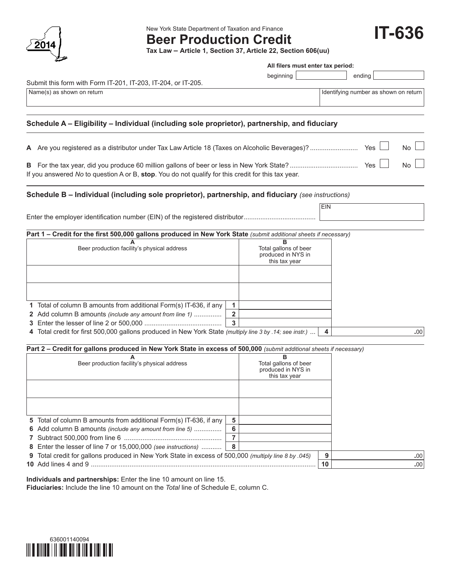

New York State Department of Taxation and Finance

**Beer Production Credit**

**Tax Law – Article 1, Section 37, Article 22, Section 606(uu)**

**IT-636**

|                                                                                                                                                                                                                                           |                                      | All filers must enter tax period:                                 |            |                                       |            |
|-------------------------------------------------------------------------------------------------------------------------------------------------------------------------------------------------------------------------------------------|--------------------------------------|-------------------------------------------------------------------|------------|---------------------------------------|------------|
|                                                                                                                                                                                                                                           |                                      | beginning                                                         |            | ending                                |            |
| Submit this form with Form IT-201, IT-203, IT-204, or IT-205.                                                                                                                                                                             |                                      |                                                                   |            |                                       |            |
| Name(s) as shown on return                                                                                                                                                                                                                |                                      |                                                                   |            | Identifying number as shown on return |            |
| Schedule A - Eligibility - Individual (including sole proprietor), partnership, and fiduciary                                                                                                                                             |                                      |                                                                   |            |                                       |            |
|                                                                                                                                                                                                                                           |                                      |                                                                   |            | Yes                                   | No.        |
| If you answered No to question A or B, stop. You do not qualify for this credit for this tax year.                                                                                                                                        |                                      |                                                                   |            |                                       | No.        |
| Schedule B - Individual (including sole proprietor), partnership, and fiduciary (see instructions)                                                                                                                                        |                                      |                                                                   |            |                                       |            |
| Enter the employer identification number (EIN) of the registered distributor                                                                                                                                                              |                                      |                                                                   | <b>EIN</b> |                                       |            |
| Part 1 - Credit for the first 500,000 gallons produced in New York State (submit additional sheets if necessary)                                                                                                                          |                                      |                                                                   |            |                                       |            |
| Beer production facility's physical address                                                                                                                                                                                               |                                      | B<br>Total gallons of beer<br>produced in NYS in<br>this tax year |            |                                       |            |
| 1 Total of column B amounts from additional Form(s) IT-636, if any<br>2 Add column B amounts (include any amount from line 1)<br>4 Total credit for first 500,000 gallons produced in New York State (multiply line 3 by .14; see instr.) | 1.<br>$\overline{2}$<br>$\mathbf{3}$ |                                                                   | 4          |                                       | .00        |
|                                                                                                                                                                                                                                           |                                      |                                                                   |            |                                       |            |
| Part 2 - Credit for gallons produced in New York State in excess of 500,000 (submit additional sheets if necessary)<br>Beer production facility's physical address                                                                        |                                      | в<br>Total gallons of beer<br>produced in NYS in<br>this tax year |            |                                       |            |
|                                                                                                                                                                                                                                           |                                      |                                                                   |            |                                       |            |
| 5 Total of column B amounts from additional Form(s) IT-636, if any                                                                                                                                                                        | 5                                    |                                                                   |            |                                       |            |
| 6 Add column B amounts (include any amount from line 5)                                                                                                                                                                                   | 6<br>$\overline{7}$                  |                                                                   |            |                                       |            |
| 8 Enter the lesser of line 7 or 15,000,000 (see instructions)                                                                                                                                                                             | 8                                    |                                                                   |            |                                       |            |
| 9 Total credit for gallons produced in New York State in excess of 500,000 (multiply line 8 by .045)                                                                                                                                      |                                      |                                                                   | 9<br>10    |                                       | .00<br>.00 |
|                                                                                                                                                                                                                                           |                                      |                                                                   |            |                                       |            |

**Individuals and partnerships:** Enter the line 10 amount on line 15.

**Fiduciaries:** Include the line 10 amount on the *Total* line of Schedule E, column C.